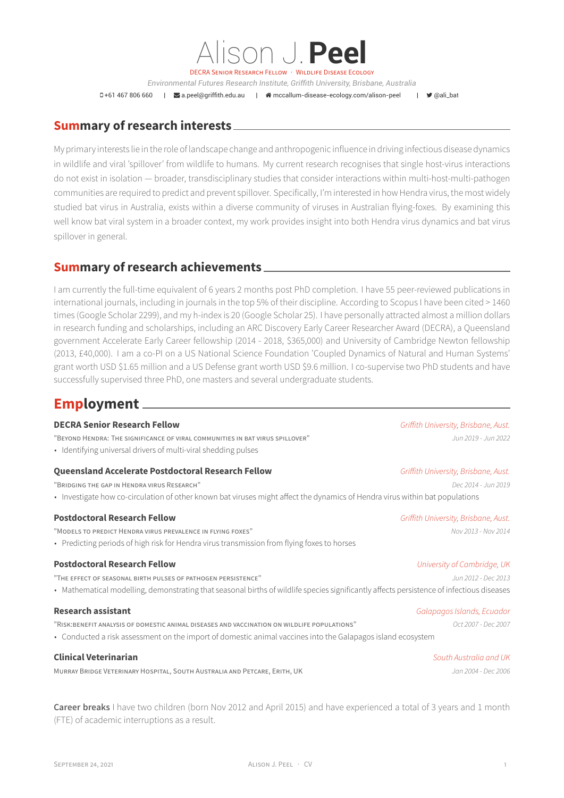DECRA SENIOR RESEARCH FELLOW · WILDLIFE DISEASE ECOLOGY

Alison J.**Peel**

*Environmental Futures Research Institute, Griffith University, Brisbane, Australia*

+61 467 806 660 | [a.peel@griffith.edu.au](mailto:a.peel@griffith.edu.au) | [mccallum-disease-ecology.com/alison-peel](http://mccallum-disease-ecology.com/alison-peel) | [@ali\\_bat](https://twitter.com/@ali_bat)

## **Summary of research interests**

My primary interests lie in the role of landscape change and anthropogenic influence in driving infectious disease dynamics in wildlife and viral 'spillover' from wildlife to humans. My current research recognises that single host-virus interactions do not exist in isolation — broader, transdisciplinary studies that consider interactions within multi-host-multi-pathogen communities are required to predict and prevent spillover. Specifically, I'm interested in how Hendra virus, the most widely studied bat virus in Australia, exists within a diverse community of viruses in Australian flying-foxes. By examining this well know bat viral system in a broader context, my work provides insight into both Hendra virus dynamics and bat virus spillover in general.

## **Summary of research achievements**

I am currently the full-time equivalent of 6 years 2 months post PhD completion. I have 55 peer-reviewed publications in international journals, including in journals in the top 5% of their discipline. According to Scopus I have been cited > 1460 times (Google Scholar 2299), and my h-index is 20 (Google Scholar 25). I have personally attracted almost a million dollars in research funding and scholarships, including an ARC Discovery Early Career Researcher Award (DECRA), a Queensland government Accelerate Early Career fellowship (2014 - 2018, \$365,000) and University of Cambridge Newton fellowship (2013, £40,000). I am a co-PI on a US National Science Foundation 'Coupled Dynamics of Natural and Human Systems' grant worth USD \$1.65 million and a US Defense grant worth USD \$9.6 million. I co-supervise two PhD students and have successfully supervised three PhD, one masters and several undergraduate students.

# **Employment**

## **DECRA Senior Research Fellow** *Griffith University, Brisbane, Aust.*

"BEYOND HENDRA: THE SIGNIFICANCE OF VIRAL COMMUNITIES IN BAT VIRUS SPILLOVER" *Jun 2019 - Jun 2022*

• Identifying universal drivers of multi-viral shedding pulses

## **Queensland Accelerate Postdoctoral Research Fellow** *Griffith University, Brisbane, Aust.*

"BRIDGING THE GAP IN HENDRA VIRUS RESEARCH" *Dec 2014 - Jun 2019* • Investigate how co-circulation of other known bat viruses might affect the dynamics of Hendra virus within bat populations

## **Postdoctoral Research Fellow** *Griffith University, Brisbane, Aust.*

- "MODELS TO PREDICT HENDRA VIRUS PREVALENCE IN FLYING FOXES" *Nov 2013 Nov 2014*
- Predicting periods of high risk for Hendra virus transmission from flying foxes to horses

## **Postdoctoral Research Fellow** *University of Cambridge, UK*

- "THE EFFECT OF SEASONAL BIRTH PULSES OF PATHOGEN PERSISTENCE" *Jun 2012 Dec 2013*
- Mathematical modelling, demonstrating that seasonal births of wildlife species significantly affects persistence of infectious diseases

"RISK:BENEFIT ANALYSIS OF DOMESTIC ANIMAL DISEASES AND VACCINATION ON WILDLIFE POPULATIONS" *Oct 2007 - Dec 2007*

• Conducted a risk assessment on the import of domestic animal vaccines into the Galapagos island ecosystem

## **Clinical Veterinarian** *South Australia and UK*

MURRAY BRIDGE VETERINARY HOSPITAL, SOUTH AUSTRALIA AND PETCARE, ERITH, UK *Jan 2004 - Dec 2006*

**Career breaks** I have two children (born Nov 2012 and April 2015) and have experienced a total of 3 years and 1 month (FTE) of academic interruptions as a result.

## **Research assistant** *Galapagos Islands, Ecuador*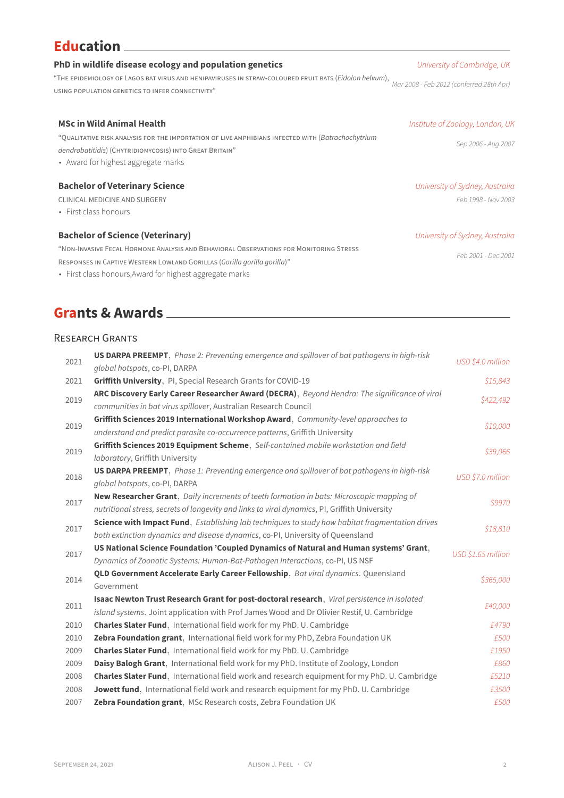# **Education**

| PhD in wildlife disease ecology and population genetics                                                                                                                                             | University of Cambridge, UK                            |  |
|-----------------------------------------------------------------------------------------------------------------------------------------------------------------------------------------------------|--------------------------------------------------------|--|
| "THE EPIDEMIOLOGY OF LAGOS BAT VIRUS AND HENIPAVIRUSES IN STRAW-COLOURED FRUIT BATS (Eidolon helvum),<br>USING POPULATION GENETICS TO INFER CONNECTIVITY"                                           | Mar 2008 - Feb 2012 (conferred 28th Apr)               |  |
| <b>MSc in Wild Animal Health</b>                                                                                                                                                                    | Institute of Zoology, London, UK                       |  |
| "QUALITATIVE RISK ANALYSIS FOR THE IMPORTATION OF LIVE AMPHIBIANS INFECTED WITH (Batrachochytrium<br>dendrobatitidis) (CHYTRIDIOMYCOSIS) INTO GREAT BRITAIN"<br>• Award for highest aggregate marks | Sep 2006 - Aug 2007                                    |  |
| <b>Bachelor of Veterinary Science</b><br>CLINICAL MEDICINE AND SURGERY<br>• First class honours                                                                                                     | University of Sydney, Australia<br>Feb 1998 - Nov 2003 |  |
| <b>Bachelor of Science (Veterinary)</b>                                                                                                                                                             | University of Sydney, Australia                        |  |

"NON-INVASIVE FECAL HORMONE ANALYSIS AND BEHAVIORAL OBSERVATIONS FOR MONITORING STRESS RESPONSES IN CAPTIVE WESTERN LOWLAND GORILLAS (*Gorilla gorilla gorilla*)"

• First class honours,Award for highest aggregate marks

# **Grants & Awards**

## RESEARCH GRANTS

| 2021 | <b>US DARPA PREEMPT</b> , Phase 2: Preventing emergence and spillover of bat pathogens in high-risk                                                                                              | USD \$4.0 million  |
|------|--------------------------------------------------------------------------------------------------------------------------------------------------------------------------------------------------|--------------------|
|      | global hotspots, co-PI, DARPA                                                                                                                                                                    |                    |
| 2021 | Griffith University, PI, Special Research Grants for COVID-19                                                                                                                                    | \$15,843           |
| 2019 | ARC Discovery Early Career Researcher Award (DECRA), Beyond Hendra: The significance of viral<br>communities in bat virus spillover, Australian Research Council                                 | \$422,492          |
| 2019 | Griffith Sciences 2019 International Workshop Award, Community-level approaches to<br>understand and predict parasite co-occurrence patterns, Griffith University                                | \$10,000           |
| 2019 | Griffith Sciences 2019 Equipment Scheme, Self-contained mobile workstation and field<br>laboratory, Griffith University                                                                          | \$39,066           |
| 2018 | <b>US DARPA PREEMPT</b> , Phase 1: Preventing emergence and spillover of bat pathogens in high-risk<br>global hotspots, co-PI, DARPA                                                             | USD \$7.0 million  |
| 2017 | New Researcher Grant, Daily increments of teeth formation in bats: Microscopic mapping of<br>nutritional stress, secrets of longevity and links to viral dynamics, PI, Griffith University       | \$9970             |
| 2017 | <b>Science with Impact Fund</b> , <i>Establishing lab techniques to study how habitat fragmentation drives</i><br>both extinction dynamics and disease dynamics, co-PI, University of Queensland | \$18,810           |
| 2017 | US National Science Foundation 'Coupled Dynamics of Natural and Human systems' Grant,<br>Dynamics of Zoonotic Systems: Human-Bat-Pathogen Interactions, co-PI, US NSF                            | USD \$1.65 million |
| 2014 | QLD Government Accelerate Early Career Fellowship, Bat viral dynamics. Queensland<br>Government                                                                                                  | \$365,000          |
| 2011 | Isaac Newton Trust Research Grant for post-doctoral research, Viral persistence in isolated<br>island systems. Joint application with Prof James Wood and Dr Olivier Restif, U. Cambridge        | £40,000            |
| 2010 | Charles Slater Fund, International field work for my PhD. U. Cambridge                                                                                                                           | £4790              |
| 2010 | Zebra Foundation grant, International field work for my PhD, Zebra Foundation UK                                                                                                                 | £500               |
| 2009 | <b>Charles Slater Fund</b> , International field work for my PhD. U. Cambridge                                                                                                                   | £1950              |
| 2009 | Daisy Balogh Grant, International field work for my PhD. Institute of Zoology, London                                                                                                            | £860               |
| 2008 | Charles Slater Fund, International field work and research equipment for my PhD. U. Cambridge                                                                                                    | £5210              |
| 2008 | Jowett fund, International field work and research equipment for my PhD. U. Cambridge                                                                                                            | £3500              |
| 2007 | Zebra Foundation grant, MSc Research costs, Zebra Foundation UK                                                                                                                                  | £500               |

*Feb 2001 - Dec 2001*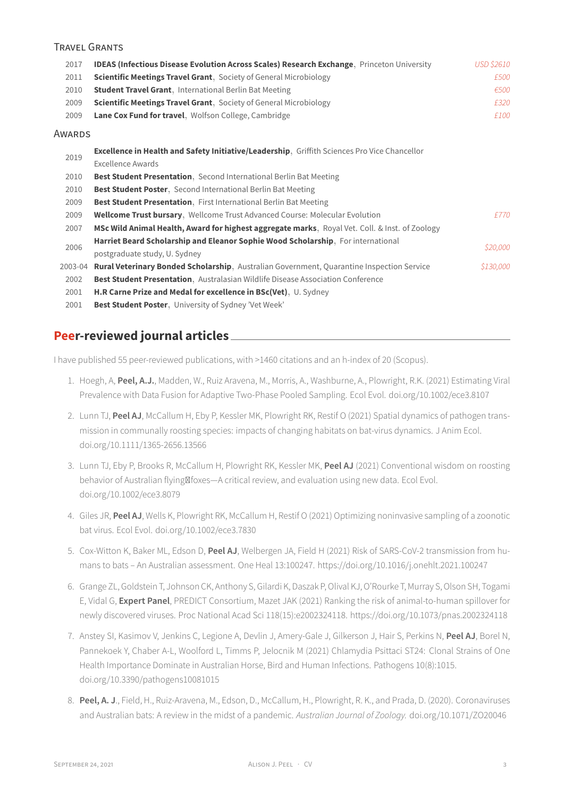## TRAVEL GRANTS

| 2017    | IDEAS (Infectious Disease Evolution Across Scales) Research Exchange, Princeton University     | USD \$2610 |
|---------|------------------------------------------------------------------------------------------------|------------|
| 2011    | <b>Scientific Meetings Travel Grant</b> , Society of General Microbiology                      | £500       |
| 2010    | <b>Student Travel Grant</b> , International Berlin Bat Meeting                                 | €500       |
| 2009    | <b>Scientific Meetings Travel Grant</b> , Society of General Microbiology                      | £320       |
| 2009    | Lane Cox Fund for travel, Wolfson College, Cambridge                                           | £100       |
| Awards  |                                                                                                |            |
| 2019    | Excellence in Health and Safety Initiative/Leadership, Griffith Sciences Pro Vice Chancellor   |            |
|         | <b>Excellence Awards</b>                                                                       |            |
| 2010    | <b>Best Student Presentation</b> , Second International Berlin Bat Meeting                     |            |
| 2010    | <b>Best Student Poster, Second International Berlin Bat Meeting</b>                            |            |
| 2009    | <b>Best Student Presentation.</b> First International Berlin Bat Meeting                       |            |
| 2009    | Wellcome Trust bursary, Wellcome Trust Advanced Course: Molecular Evolution                    | £770       |
| 2007    | MSc Wild Animal Health, Award for highest aggregate marks, Royal Vet. Coll. & Inst. of Zoology |            |
| 2006    | Harriet Beard Scholarship and Eleanor Sophie Wood Scholarship, For international               |            |
|         | postgraduate study, U. Sydney                                                                  | \$20,000   |
| 2003-04 | Rural Veterinary Bonded Scholarship, Australian Government, Quarantine Inspection Service      | \$130,000  |
| 2002    | Best Student Presentation, Australasian Wildlife Disease Association Conference                |            |
| 2001    | H.R Carne Prize and Medal for excellence in BSc(Vet), U. Sydney                                |            |
| 2001    | <b>Best Student Poster</b> , University of Sydney 'Vet Week'                                   |            |

## **Peer-reviewed journal articles**

I have published 55 peer-reviewed publications, with >1460 citations and an h-index of 20 (Scopus).

- 1. Hoegh, A, **Peel, A.J.**, Madden, W., Ruiz Aravena, M., Morris, A., Washburne, A., Plowright, R.K. (2021) Estimating Viral Prevalence with Data Fusion for Adaptive Two-Phase Pooled Sampling. Ecol Evol. doi.org/10.1002/ece3.8107
- 2. Lunn TJ, **Peel AJ**, McCallum H, Eby P, Kessler MK, Plowright RK, Restif O (2021) Spatial dynamics of pathogen transmission in communally roosting species: impacts of changing habitats on bat-virus dynamics. J Anim Ecol. doi.org/10.1111/1365-2656.13566
- 3. Lunn TJ, Eby P, Brooks R, McCallum H, Plowright RK, Kessler MK, **Peel AJ** (2021) Conventional wisdom on roosting behavior of Australian flying\foxes—A critical review, and evaluation using new data. Ecol Evol. doi.org/10.1002/ece3.8079
- 4. Giles JR, **Peel AJ**, Wells K, Plowright RK, McCallum H, Restif O (2021) Optimizing noninvasive sampling of a zoonotic bat virus. Ecol Evol. doi.org/10.1002/ece3.7830
- 5. Cox-Witton K, Baker ML, Edson D, **Peel AJ**, Welbergen JA, Field H (2021) Risk of SARS-CoV-2 transmission from humans to bats – An Australian assessment. One Heal 13:100247. https://doi.org/10.1016/j.onehlt.2021.100247
- 6. Grange ZL, Goldstein T, Johnson CK, Anthony S, Gilardi K, Daszak P, Olival KJ, O'Rourke T, Murray S, Olson SH, Togami E, Vidal G, **Expert Panel**, PREDICT Consortium, Mazet JAK (2021) Ranking the risk of animal-to-human spillover for newly discovered viruses. Proc National Acad Sci 118(15):e2002324118. https://doi.org/10.1073/pnas.2002324118
- 7. Anstey SI, Kasimov V, Jenkins C, Legione A, Devlin J, Amery-Gale J, Gilkerson J, Hair S, Perkins N, **Peel AJ**, Borel N, Pannekoek Y, Chaber A-L, Woolford L, Timms P, Jelocnik M (2021) Chlamydia Psittaci ST24: Clonal Strains of One Health Importance Dominate in Australian Horse, Bird and Human Infections. Pathogens 10(8):1015. doi.org/10.3390/pathogens10081015
- 8. **Peel, A. J**., Field, H., Ruiz-Aravena, M., Edson, D., McCallum, H., Plowright, R. K., and Prada, D. (2020). Coronaviruses and Australian bats: A review in the midst of a pandemic. *Australian Journal of Zoology.* doi.org/10.1071/ZO20046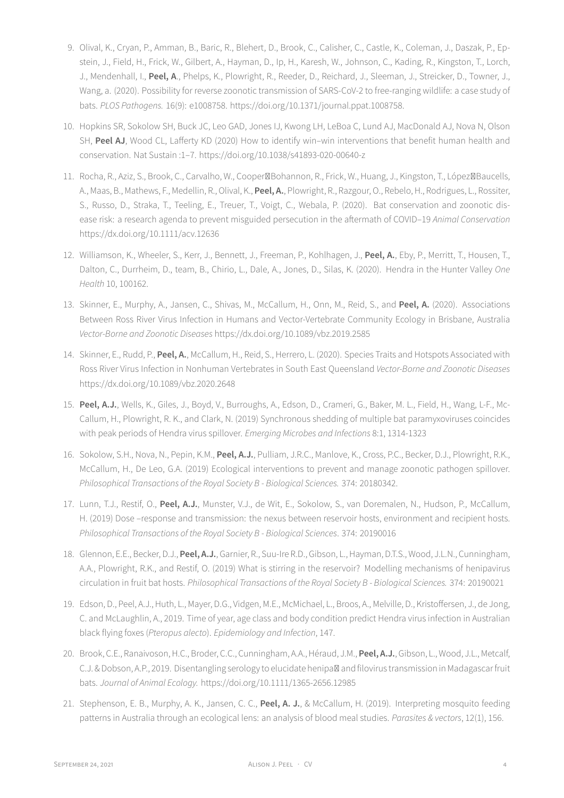- 9. Olival, K., Cryan, P., Amman, B., Baric, R., Blehert, D., Brook, C., Calisher, C., Castle, K., Coleman, J., Daszak, P., Epstein, J., Field, H., Frick, W., Gilbert, A., Hayman, D., Ip, H., Karesh, W., Johnson, C., Kading, R., Kingston, T., Lorch, J., Mendenhall, I., **Peel, A**., Phelps, K., Plowright, R., Reeder, D., Reichard, J., Sleeman, J., Streicker, D., Towner, J., Wang, a. (2020). Possibility for reverse zoonotic transmission of SARS-CoV-2 to free-ranging wildlife: a case study of bats. *PLOS Pathogens.* 16(9): e1008758. https://doi.org/10.1371/journal.ppat.1008758.
- 10. Hopkins SR, Sokolow SH, Buck JC, Leo GAD, Jones IJ, Kwong LH, LeBoa C, Lund AJ, MacDonald AJ, Nova N, Olson SH, **Peel AJ**, Wood CL, Lafferty KD (2020) How to identify win–win interventions that benefit human health and conservation. Nat Sustain :1–7. https://doi.org/10.1038/s41893-020-00640-z
- 11. Rocha, R., Aziz, S., Brook, C., Carvalho, W., CooperBohannon, R., Frick, W., Huang, J., Kingston, T., LópezBaucells, A., Maas, B., Mathews, F., Medellin, R., Olival, K., **Peel, A.**, Plowright, R., Razgour, O., Rebelo, H., Rodrigues, L., Rossiter, S., Russo, D., Straka, T., Teeling, E., Treuer, T., Voigt, C., Webala, P. (2020). Bat conservation and zoonotic disease risk: a research agenda to prevent misguided persecution in the aftermath of COVID–19 *Animal Conservation* https://dx.doi.org/10.1111/acv.12636
- 12. Williamson, K., Wheeler, S., Kerr, J., Bennett, J., Freeman, P., Kohlhagen, J., **Peel, A.**, Eby, P., Merritt, T., Housen, T., Dalton, C., Durrheim, D., team, B., Chirio, L., Dale, A., Jones, D., Silas, K. (2020). Hendra in the Hunter Valley *One Health* 10, 100162.
- 13. Skinner, E., Murphy, A., Jansen, C., Shivas, M., McCallum, H., Onn, M., Reid, S., and **Peel, A.** (2020). Associations Between Ross River Virus Infection in Humans and Vector-Vertebrate Community Ecology in Brisbane, Australia *Vector-Borne and Zoonotic Diseases* https://dx.doi.org/10.1089/vbz.2019.2585
- 14. Skinner, E., Rudd, P., **Peel, A.**, McCallum, H., Reid, S., Herrero, L. (2020). Species Traits and Hotspots Associated with Ross River Virus Infection in Nonhuman Vertebrates in South East Queensland *Vector-Borne and Zoonotic Diseases* https://dx.doi.org/10.1089/vbz.2020.2648
- 15. **Peel, A.J.**, Wells, K., Giles, J., Boyd, V., Burroughs, A., Edson, D., Crameri, G., Baker, M. L., Field, H., Wang, L-F., Mc-Callum, H., Plowright, R. K., and Clark, N. (2019) Synchronous shedding of multiple bat paramyxoviruses coincides with peak periods of Hendra virus spillover. *Emerging Microbes and Infections* 8:1, 1314-1323
- 16. Sokolow, S.H., Nova, N., Pepin, K.M., **Peel, A.J.**, Pulliam, J.R.C., Manlove, K., Cross, P.C., Becker, D.J., Plowright, R.K., McCallum, H., De Leo, G.A. (2019) Ecological interventions to prevent and manage zoonotic pathogen spillover. *Philosophical Transactions of the Royal Society B - Biological Sciences.* 374: 20180342.
- 17. Lunn, T.J., Restif, O., **Peel, A.J.**, Munster, V.J., de Wit, E., Sokolow, S., van Doremalen, N., Hudson, P., McCallum, H. (2019) Dose –response and transmission: the nexus between reservoir hosts, environment and recipient hosts. *Philosophical Transactions of the Royal Society B - Biological Sciences*. 374: 20190016
- 18. Glennon, E.E., Becker, D.J., **Peel, A.J.**, Garnier, R., Suu-Ire R.D., Gibson, L., Hayman, D.T.S., Wood, J.L.N., Cunningham, A.A., Plowright, R.K., and Restif, O. (2019) What is stirring in the reservoir? Modelling mechanisms of henipavirus circulation in fruit bat hosts. *Philosophical Transactions of the Royal Society B - Biological Sciences.* 374: 20190021
- 19. Edson, D., Peel, A.J., Huth, L., Mayer, D.G., Vidgen, M.E., McMichael, L., Broos, A., Melville, D., Kristoffersen, J., de Jong, C. and McLaughlin, A., 2019. Time of year, age class and body condition predict Hendra virus infection in Australian black flying foxes (*Pteropus alecto*). *Epidemiology and Infection*, 147.
- 20. Brook, C.E., Ranaivoson, H.C., Broder, C.C., Cunningham, A.A., Héraud, J.M., **Peel, A.J.**, Gibson, L., Wood, J.L., Metcalf, C.J. & Dobson, A.P., 2019. Disentangling serology to elucidate henipa<sup>M</sup> and filovirus transmission in Madagascar fruit bats. *Journal of Animal Ecology.* https://doi.org/10.1111/1365-2656.12985
- 21. Stephenson, E. B., Murphy, A. K., Jansen, C. C., **Peel, A. J.**, & McCallum, H. (2019). Interpreting mosquito feeding patterns in Australia through an ecological lens: an analysis of blood meal studies. *Parasites & vectors*, 12(1), 156.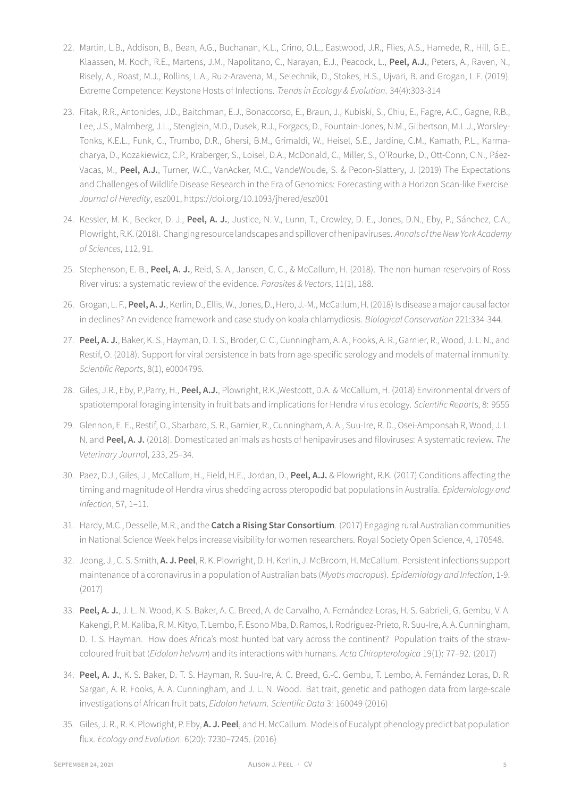- 22. Martin, L.B., Addison, B., Bean, A.G., Buchanan, K.L., Crino, O.L., Eastwood, J.R., Flies, A.S., Hamede, R., Hill, G.E., Klaassen, M. Koch, R.E., Martens, J.M., Napolitano, C., Narayan, E.J., Peacock, L., **Peel, A.J.**, Peters, A., Raven, N., Risely, A., Roast, M.J., Rollins, L.A., Ruiz-Aravena, M., Selechnik, D., Stokes, H.S., Ujvari, B. and Grogan, L.F. (2019). Extreme Competence: Keystone Hosts of Infections. *Trends in Ecology & Evolution*. 34(4):303-314
- 23. Fitak, R.R., Antonides, J.D., Baitchman, E.J., Bonaccorso, E., Braun, J., Kubiski, S., Chiu, E., Fagre, A.C., Gagne, R.B., Lee, J.S., Malmberg, J.L., Stenglein, M.D., Dusek, R.J., Forgacs, D., Fountain-Jones, N.M., Gilbertson, M.L.J., Worsley-Tonks, K.E.L., Funk, C., Trumbo, D.R., Ghersi, B.M., Grimaldi, W., Heisel, S.E., Jardine, C.M., Kamath, P.L., Karmacharya, D., Kozakiewicz, C.P., Kraberger, S., Loisel, D.A., McDonald, C., Miller, S., O'Rourke, D., Ott-Conn, C.N., Páez-Vacas, M., **Peel, A.J.**, Turner, W.C., VanAcker, M.C., VandeWoude, S. & Pecon-Slattery, J. (2019) The Expectations and Challenges of Wildlife Disease Research in the Era of Genomics: Forecasting with a Horizon Scan-like Exercise. *Journal of Heredity*, esz001, https://doi.org/10.1093/jhered/esz001
- 24. Kessler, M. K., Becker, D. J., **Peel, A. J.**, Justice, N. V., Lunn, T., Crowley, D. E., Jones, D.N., Eby, P., Sánchez, C.A., Plowright, R.K.(2018). Changing resource landscapes and spillover of henipaviruses. *Annals ofthe New York Academy of Sciences*, 112, 91.
- 25. Stephenson, E. B., **Peel, A. J.**, Reid, S. A., Jansen, C. C., & McCallum, H. (2018). The non-human reservoirs of Ross River virus: a systematic review of the evidence. *Parasites & Vectors*, 11(1), 188.
- 26. Grogan, L. F., **Peel, A. J.**, Kerlin, D., Ellis, W., Jones, D., Hero, J.-M., McCallum, H. (2018) Is disease a major causal factor in declines? An evidence framework and case study on koala chlamydiosis. *Biological Conservation* 221:334-344.
- 27. **Peel, A. J.**, Baker, K. S., Hayman, D. T. S., Broder, C. C., Cunningham, A. A., Fooks, A. R., Garnier, R., Wood, J. L. N., and Restif, O. (2018). Support for viral persistence in bats from age-specific serology and models of maternal immunity. *Scientific Reports*, 8(1), e0004796.
- 28. Giles, J.R., Eby, P.,Parry, H., **Peel, A.J.**, Plowright, R.K.,Westcott, D.A. & McCallum, H. (2018) Environmental drivers of spatiotemporal foraging intensity in fruit bats and implications for Hendra virus ecology. *Scientific Report*s, 8: 9555
- 29. Glennon, E. E., Restif, O., Sbarbaro, S. R., Garnier, R., Cunningham, A. A., Suu-Ire, R. D., Osei-Amponsah R, Wood, J. L. N. and **Peel, A. J.** (2018). Domesticated animals as hosts of henipaviruses and filoviruses: A systematic review. *The Veterinary Journa*l, 233, 25–34.
- 30. Paez, D.J., Giles, J., McCallum, H., Field, H.E., Jordan, D., **Peel, A.J.** & Plowright, R.K. (2017) Conditions affecting the timing and magnitude of Hendra virus shedding across pteropodid bat populations in Australia. *Epidemiology and Infection*, 57, 1–11.
- 31. Hardy, M.C., Desselle, M.R., and the **Catch a Rising Star Consortium**. (2017) Engaging rural Australian communities in National Science Week helps increase visibility for women researchers. Royal Society Open Science, 4, 170548.
- 32. Jeong, J., C. S. Smith, **A. J. Peel**, R. K. Plowright, D. H. Kerlin, J. McBroom, H. McCallum. Persistent infections support maintenance of a coronavirus in a population of Australian bats (*Myotis macropus*). *Epidemiology and Infection*, 1-9. (2017)
- 33. **Peel, A. J.**, J. L. N. Wood, K. S. Baker, A. C. Breed, A. de Carvalho, A. Fernández-Loras, H. S. Gabrieli, G. Gembu, V. A. Kakengi, P. M. Kaliba, R. M. Kityo, T. Lembo, F. Esono Mba, D. Ramos, I. Rodriguez-Prieto, R. Suu-Ire, A. A. Cunningham, D. T. S. Hayman. How does Africa's most hunted bat vary across the continent? Population traits of the strawcoloured fruit bat (*Eidolon helvum*) and its interactions with humans. *Acta Chiropterologica* 19(1): 77–92. (2017)
- 34. **Peel, A. J.**, K. S. Baker, D. T. S. Hayman, R. Suu-Ire, A. C. Breed, G.-C. Gembu, T. Lembo, A. Fernández Loras, D. R. Sargan, A. R. Fooks, A. A. Cunningham, and J. L. N. Wood. Bat trait, genetic and pathogen data from large-scale investigations of African fruit bats, *Eidolon helvum*. *Scientific Data* 3: 160049 (2016)
- 35. Giles, J. R., R. K. Plowright, P. Eby, **A. J. Peel**, and H. McCallum. Models of Eucalypt phenology predict bat population flux. *Ecology and Evolution*. 6(20): 7230–7245. (2016)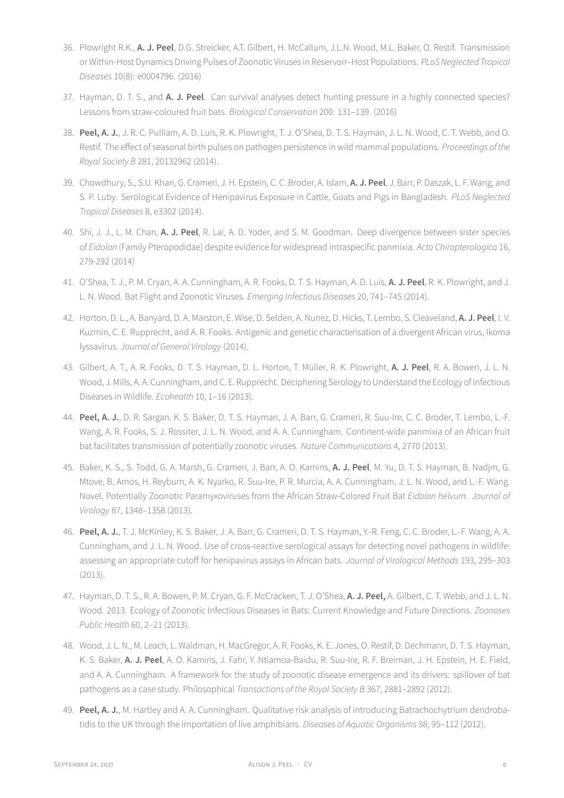- 36. Plowright R.K., **A. J. Peel**, D.G. Streicker, A.T. Gilbert, H. McCallum, J.L.N. Wood, M.L. Baker, O. Restif. Transmission or Within-Host Dynamics Driving Pulses of Zoonotic Viruses in Reservoir–Host Populations. *PLoS Neglected Tropical Diseases* 10(8): e0004796. (2016)
- 37. Hayman, D. T. S., and **A. J. Peel**. Can survival analyses detect hunting pressure in a highly connected species? Lessons from straw-coloured fruit bats. *Biological Conservation* 200: 131–139. (2016)
- 38. **Peel, A. J.**, J. R. C. Pulliam, A. D. Luis, R. K. Plowright, T. J. O'Shea, D. T. S. Hayman, J. L. N. Wood, C. T. Webb, and O. Restif. The effect of seasonal birth pulses on pathogen persistence in wild mammal populations. *Proceedings of the Royal Society B* 281, 20132962 (2014).
- 39. Chowdhury, S., S.U. Khan, G. Crameri, J. H. Epstein, C. C. Broder, A. Islam, **A. J. Peel**, J. Barr, P. Daszak, L. F. Wang, and S. P. Luby. Serological Evidence of Henipavirus Exposure in Cattle, Goats and Pigs in Bangladesh. *PLoS Neglected Tropical Diseases* 8, e3302 (2014).
- 40. Shi, J. J., L. M. Chan, **A. J. Peel**, R. Lai, A. D. Yoder, and S. M. Goodman. Deep divergence between sister species of *Eidolon* (Family Pteropodidae) despite evidence for widespread intraspecific panmixia. *Acta Chiropterologica* 16, 279-292 (2014)
- 41. O'Shea, T. J., P. M. Cryan, A. A. Cunningham, A. R. Fooks, D. T. S. Hayman, A. D. Luis, **A. J. Peel**, R. K. Plowright, and J. L. N. Wood. Bat Flight and Zoonotic Viruses. *Emerging Infectious Diseases* 20, 741–745 (2014).
- 42. Horton, D. L., A. Banyard, D. A. Marston, E. Wise, D. Selden, A. Nunez, D. Hicks, T. Lembo, S. Cleaveland, **A. J. Peel**, I. V. Kuzmin, C. E. Rupprecht, and A. R. Fooks. Antigenic and genetic characterisation of a divergent African virus, Ikoma lyssavirus. *Journal of General Virology* (2014).
- 43. Gilbert, A. T., A. R. Fooks, D. T. S. Hayman, D. L. Horton, T. Müller, R. K. Plowright, **A. J. Peel**, R. A. Bowen, J. L. N. Wood, J. Mills, A. A. Cunningham, and C. E. Rupprecht. Deciphering Serology to Understand the Ecology of Infectious Diseases in Wildlife. *Ecohealth* 10, 1–16 (2013).
- 44. **Peel, A. J.**, D. R. Sargan, K. S. Baker, D. T. S. Hayman, J. A. Barr, G. Crameri, R. Suu-Ire, C. C. Broder, T. Lembo, L.-F. Wang, A. R. Fooks, S. J. Rossiter, J. L. N. Wood, and A. A. Cunningham. Continent-wide panmixia of an African fruit bat facilitates transmission of potentially zoonotic viruses. *Nature Communications* 4, 2770 (2013).
- 45. Baker, K. S., S. Todd, G. A. Marsh, G. Crameri, J. Barr, A. O. Kamins, **A. J. Peel**, M. Yu, D. T. S. Hayman, B. Nadjm, G. Mtove, B. Amos, H. Reyburn, A. K. Nyarko, R. Suu-Ire, P. R. Murcia, A. A. Cunningham, J. L. N. Wood, and L.-F. Wang. Novel, Potentially Zoonotic Paramyxoviruses from the African Straw-Colored Fruit Bat *Eidolon helvum*. *Journal of Virology* 87, 1348–1358 (2013).
- 46. **Peel, A. J.**, T. J. McKinley, K. S. Baker, J. A. Barr, G. Crameri, D. T. S. Hayman, Y.-R. Feng, C. C. Broder, L.-F. Wang, A. A. Cunningham, and J. L. N. Wood. Use of cross-reactive serological assays for detecting novel pathogens in wildlife: assessing an appropriate cutoff for henipavirus assays in African bats. *Journal of Virological Methods* 193, 295–303 (2013).
- 47. Hayman, D. T. S., R. A. Bowen, P. M. Cryan, G. F. McCracken, T. J. O'Shea, **A. J. Peel,** A. Gilbert, C. T. Webb, and J. L. N. Wood. 2013. Ecology of Zoonotic Infectious Diseases in Bats: Current Knowledge and Future Directions. *Zoonoses Public Health* 60, 2–21 (2013).
- 48. Wood, J. L. N., M. Leach, L. Waldman, H. MacGregor, A. R. Fooks, K. E. Jones, O. Restif, D. Dechmann, D. T. S. Hayman, K. S. Baker, **A. J. Peel**, A. O. Kamins, J. Fahr, Y. Ntiamoa-Baidu, R. Suu-Ire, R. F. Breiman, J. H. Epstein, H. E. Field, and A. A. Cunningham. A framework for the study of zoonotic disease emergence and its drivers: spillover of bat pathogens as a case study. Philosophical *Transactions of the Royal Society B* 367, 2881–2892 (2012).
- 49. **Peel, A. J.**, M. Hartley and A. A. Cunningham. Qualitative risk analysis of introducing Batrachochytrium dendrobatidis to the UK through the importation of live amphibians. *Diseases of Aquatic Organisms* 98, 95–112 (2012).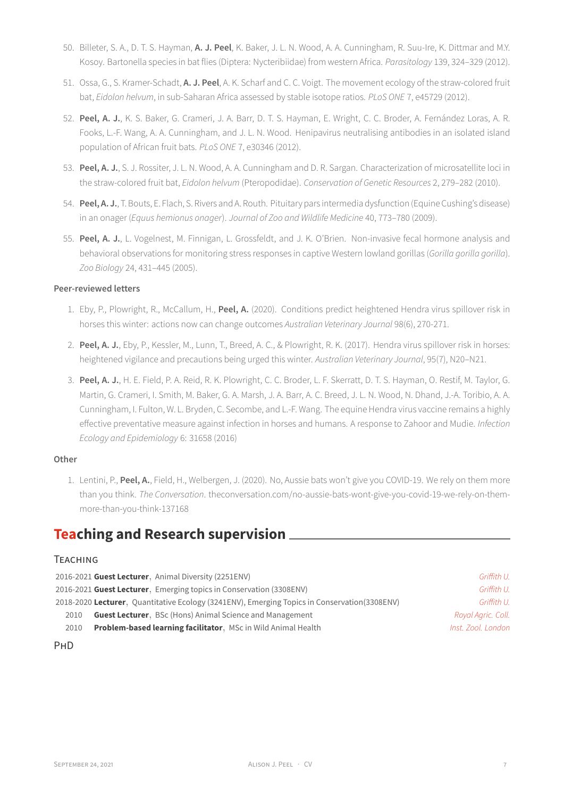- 50. Billeter, S. A., D. T. S. Hayman, **A. J. Peel**, K. Baker, J. L. N. Wood, A. A. Cunningham, R. Suu-Ire, K. Dittmar and M.Y. Kosoy. Bartonella species in bat flies (Diptera: Nycteribiidae) from western Africa. *Parasitology* 139, 324–329 (2012).
- 51. Ossa, G., S. Kramer-Schadt, **A. J. Peel**, A. K. Scharf and C. C. Voigt. The movement ecology of the straw-colored fruit bat, *Eidolon helvum*, in sub-Saharan Africa assessed by stable isotope ratios. *PLoS ONE* 7, e45729 (2012).
- 52. **Peel, A. J.**, K. S. Baker, G. Crameri, J. A. Barr, D. T. S. Hayman, E. Wright, C. C. Broder, A. Fernández Loras, A. R. Fooks, L.-F. Wang, A. A. Cunningham, and J. L. N. Wood. Henipavirus neutralising antibodies in an isolated island population of African fruit bats. *PLoS ONE* 7, e30346 (2012).
- 53. **Peel, A. J.**, S. J. Rossiter, J. L. N. Wood, A. A. Cunningham and D. R. Sargan. Characterization of microsatellite loci in the straw-colored fruit bat, *Eidolon helvum* (Pteropodidae). *Conservation of Genetic Resources* 2, 279–282 (2010).
- 54. **Peel, A. J.**, T. Bouts, E. Flach, S. Rivers and A. Routh. Pituitary pars intermedia dysfunction(Equine Cushing's disease) in an onager (*Equus hemionus onager*). *Journal of Zoo and Wildlife Medicine* 40, 773–780 (2009).
- 55. **Peel, A. J.**, L. Vogelnest, M. Finnigan, L. Grossfeldt, and J. K. O'Brien. Non-invasive fecal hormone analysis and behavioral observations for monitoring stress responses in captive Western lowland gorillas (*Gorilla gorilla gorilla*). *Zoo Biology* 24, 431–445 (2005).

## **Peer-reviewed letters**

- 1. Eby, P., Plowright, R., McCallum, H., **Peel, A.** (2020). Conditions predict heightened Hendra virus spillover risk in horses this winter: actions now can change outcomes *Australian Veterinary Journal* 98(6), 270-271.
- 2. **Peel, A. J.**, Eby, P., Kessler, M., Lunn, T., Breed, A. C., & Plowright, R. K. (2017). Hendra virus spillover risk in horses: heightened vigilance and precautions being urged this winter. *Australian Veterinary Journal*, 95(7), N20–N21.
- 3. **Peel, A. J.**, H. E. Field, P. A. Reid, R. K. Plowright, C. C. Broder, L. F. Skerratt, D. T. S. Hayman, O. Restif, M. Taylor, G. Martin, G. Crameri, I. Smith, M. Baker, G. A. Marsh, J. A. Barr, A. C. Breed, J. L. N. Wood, N. Dhand, J.-A. Toribio, A. A. Cunningham, I. Fulton, W. L. Bryden, C. Secombe, and L.-F. Wang. The equine Hendra virus vaccine remains a highly effective preventative measure against infection in horses and humans. A response to Zahoor and Mudie. *Infection Ecology and Epidemiology* 6: 31658 (2016)

### **Other**

1. Lentini, P., **Peel, A.**, Field, H., Welbergen, J. (2020). No, Aussie bats won't give you COVID-19. We rely on them more than you think. *The Conversation*. theconversation.com/no-aussie-bats-wont-give-you-covid-19-we-rely-on-themmore-than-you-think-137168

## **Teaching and Research supervision**

## **TEACHING**

| 2016-2021 Guest Lecturer, Animal Diversity (2251ENV)                                          | Griffith U.        |
|-----------------------------------------------------------------------------------------------|--------------------|
| 2016-2021 Guest Lecturer, Emerging topics in Conservation (3308ENV)                           | Griffith U.        |
| 2018-2020 Lecturer, Quantitative Ecology (3241ENV), Emerging Topics in Conservation (3308ENV) | Griffith U.        |
| <b>Guest Lecturer.</b> BSc (Hons) Animal Science and Management<br>2010                       | Royal Agric. Coll. |
| <b>Problem-based learning facilitator.</b> MSc in Wild Animal Health<br>2010                  | Inst. Zool. London |

## PHD